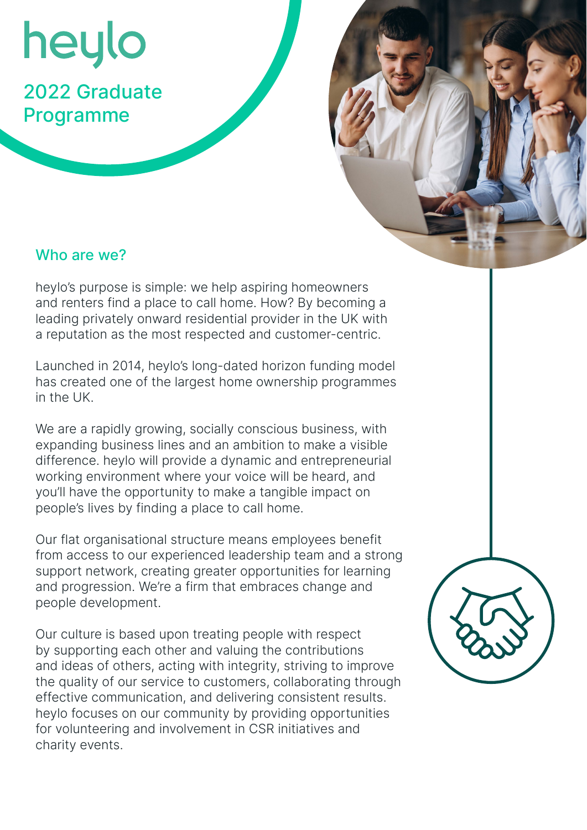# heylo

2022 Graduate Programme

## Who are we?

heylo's purpose is simple: we help aspiring homeowners and renters find a place to call home. How? By becoming a leading privately onward residential provider in the UK with a reputation as the most respected and customer-centric.

Launched in 2014, heylo's long-dated horizon funding model has created one of the largest home ownership programmes in the UK.

We are a rapidly growing, socially conscious business, with expanding business lines and an ambition to make a visible difference. heylo will provide a dynamic and entrepreneurial working environment where your voice will be heard, and you'll have the opportunity to make a tangible impact on people's lives by finding a place to call home.

Our flat organisational structure means employees benefit from access to our experienced leadership team and a strong support network, creating greater opportunities for learning and progression. We're a firm that embraces change and people development.

Our culture is based upon treating people with respect by supporting each other and valuing the contributions and ideas of others, acting with integrity, striving to improve the quality of our service to customers, collaborating through effective communication, and delivering consistent results. heylo focuses on our community by providing opportunities for volunteering and involvement in CSR initiatives and charity events.

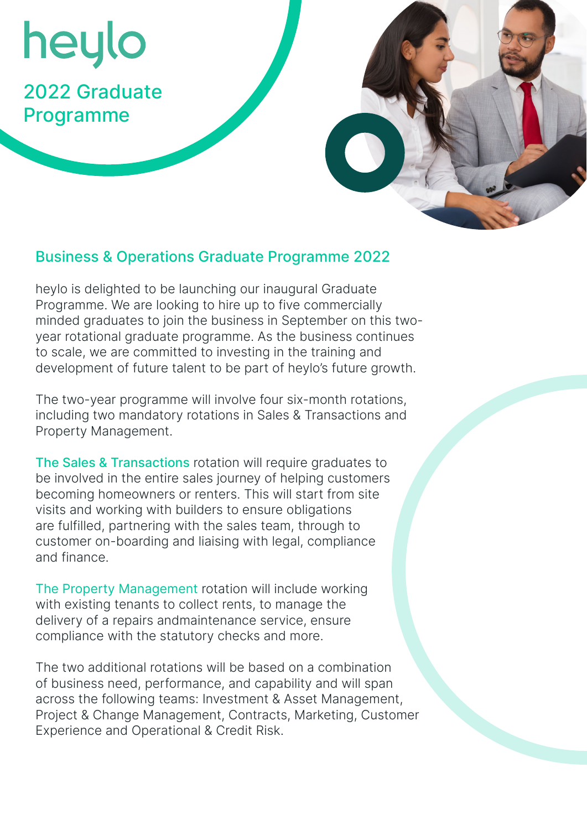# heylo

2022 Graduate Programme



#### Business & Operations Graduate Programme 2022

heylo is delighted to be launching our inaugural Graduate Programme. We are looking to hire up to five commercially minded graduates to join the business in September on this twoyear rotational graduate programme. As the business continues to scale, we are committed to investing in the training and development of future talent to be part of heylo's future growth.

The two-year programme will involve four six-month rotations, including two mandatory rotations in Sales & Transactions and Property Management.

The Sales & Transactions rotation will require graduates to be involved in the entire sales journey of helping customers becoming homeowners or renters. This will start from site visits and working with builders to ensure obligations are fulfilled, partnering with the sales team, through to customer on-boarding and liaising with legal, compliance and finance.

The Property Management rotation will include working with existing tenants to collect rents, to manage the delivery of a repairs andmaintenance service, ensure compliance with the statutory checks and more.

The two additional rotations will be based on a combination of business need, performance, and capability and will span across the following teams: Investment & Asset Management, Project & Change Management, Contracts, Marketing, Customer Experience and Operational & Credit Risk.